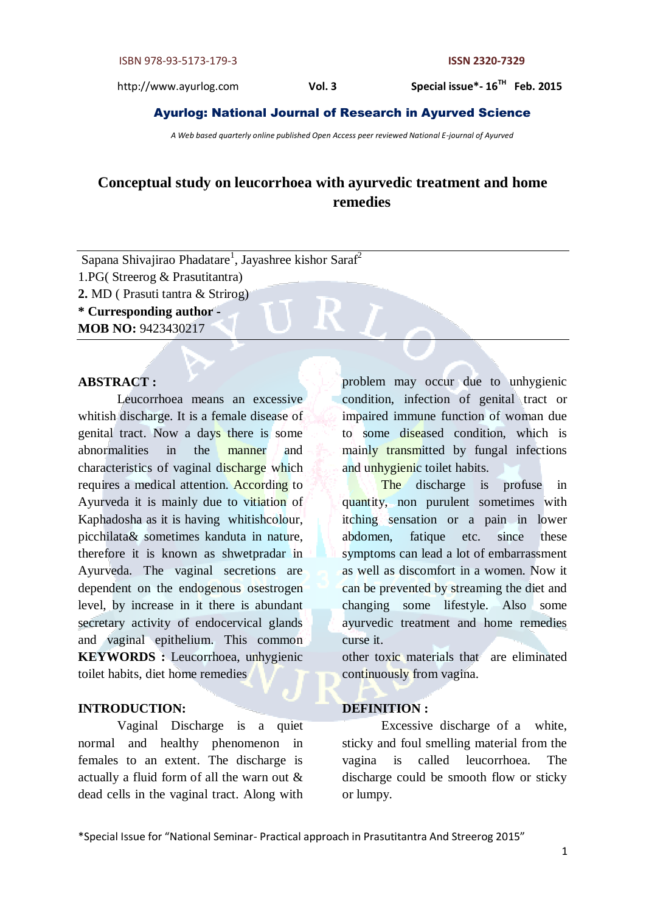Special issue\*-  $16^{TH}$  Feb. 2015

# Ayurlog: National Journal of Research in Ayurved Science

*A Web based quarterly online published Open Access peer reviewed National E-journal of Ayurved*

# **Conceptual study on leucorrhoea with ayurvedic treatment and home remedies**

Sapana Shivajirao Phadatare<sup>1</sup>, Jayashree kishor Saraf<sup>2</sup> 1.PG( Streerog & Prasutitantra) **2.** MD ( Prasuti tantra & Strirog)

**\* Curresponding author - MOB NO:** 9423430217

# **ABSTRACT :**

Leucorrhoea means an excessive whitish discharge. It is a female disease of genital tract. Now a days there is some abnormalities in the manner and characteristics of vaginal discharge which requires a medical attention. According to Ayurveda it is mainly due to vitiation of Kaphadosha as it is having whitishcolour, picchilata& sometimes kanduta in nature, therefore it is known as shwetpradar in Ayurveda. The vaginal secretions are dependent on the endogenous osestrogen level, by increase in it there is abundant secretary activity of endocervical glands and vaginal epithelium. This common **KEYWORDS** : Leucorrhoea, unhygienic toilet habits, diet home remedies

### **INTRODUCTION:**

Vaginal Discharge is a quiet normal and healthy phenomenon in females to an extent. The discharge is actually a fluid form of all the warn out & dead cells in the vaginal tract. Along with

problem may occur due to unhygienic condition, infection of genital tract or impaired immune function of woman due to some diseased condition, which is mainly transmitted by fungal infections and unhygienic toilet habits.

The discharge is profuse in quantity, non purulent sometimes with itching sensation or a pain in lower abdomen, fatique etc. since these symptoms can lead a lot of embarrassment as well as discomfort in a women. Now it can be prevented by streaming the diet and changing some lifestyle. Also some ayurvedic treatment and home remedies curse it.

other toxic materials that are eliminated continuously from vagina.

#### **DEFINITION :**

Excessive discharge of a white, sticky and foul smelling material from the vagina is called leucorrhoea. The discharge could be smooth flow or sticky or lumpy.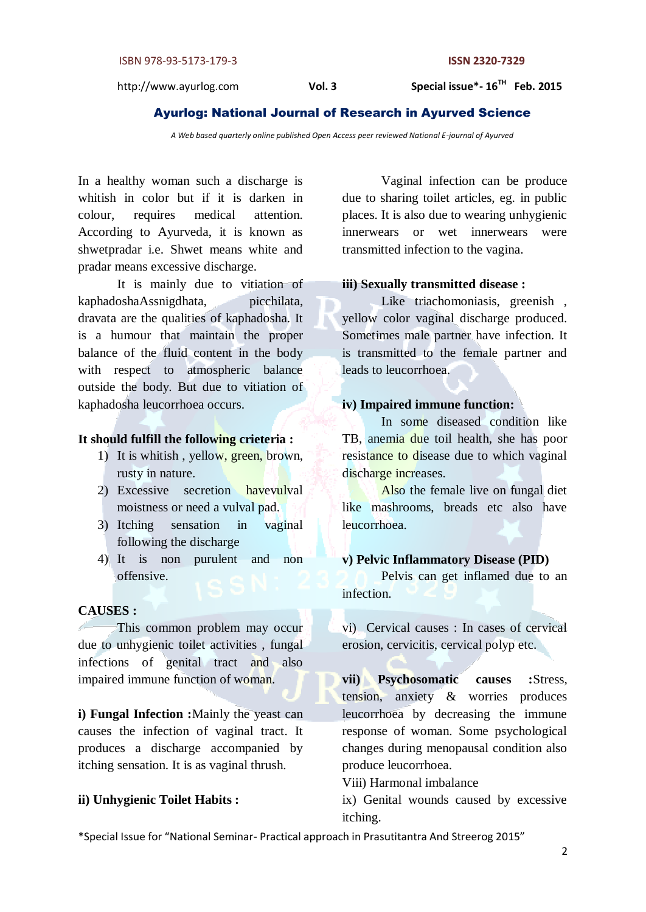Special issue\*-  $16^{TH}$  Feb. 2015

# Ayurlog: National Journal of Research in Ayurved Science

*A Web based quarterly online published Open Access peer reviewed National E-journal of Ayurved*

In a healthy woman such a discharge is whitish in color but if it is darken in colour, requires medical attention. According to Ayurveda, it is known as shwetpradar i.e. Shwet means white and pradar means excessive discharge.

It is mainly due to vitiation of kaphadoshaAssnigdhata, picchilata, dravata are the qualities of kaphadosha. It is a humour that maintain the proper balance of the fluid content in the body with respect to atmospheric balance outside the body. But due to vitiation of kaphadosha leucorrhoea occurs.

# **It should fulfill the following crieteria :**

- 1) It is whitish , yellow, green, brown, rusty in nature.
- 2) Excessive secretion havevulval moistness or need a vulval pad.
- 3) Itching sensation in vaginal following the discharge
- 4) It is non purulent and non offensive.

#### **CAUSES :**

This common problem may occur due to unhygienic toilet activities , fungal infections of genital tract and also impaired immune function of woman.

**i) Fungal Infection :**Mainly the yeast can causes the infection of vaginal tract. It produces a discharge accompanied by itching sensation. It is as vaginal thrush.

# **ii) Unhygienic Toilet Habits :**

Vaginal infection can be produce due to sharing toilet articles, eg. in public places. It is also due to wearing unhygienic innerwears or wet innerwears were transmitted infection to the vagina.

# **iii) Sexually transmitted disease :**

Like triachomoniasis, greenish , yellow color vaginal discharge produced. Sometimes male partner have infection. It is transmitted to the female partner and leads to leucorrhoea.

# **iv) Impaired immune function:**

In some diseased condition like TB, anemia due toil health, she has poor resistance to disease due to which vaginal discharge increases.

Also the female live on fungal diet like mashrooms, breads etc also have leucorrhoea.

#### **v) Pelvic Inflammatory Disease (PID)**

Pelvis can get inflamed due to an infection.

vi) Cervical causes : In cases of cervical erosion, cervicitis, cervical polyp etc.

**vii) Psychosomatic causes :**Stress, tension, anxiety & worries produces leucorrhoea by decreasing the immune response of woman. Some psychological changes during menopausal condition also produce leucorrhoea.

Viii) Harmonal imbalance

ix) Genital wounds caused by excessive itching.

\*Special Issue for "National Seminar- Practical approach in Prasutitantra And Streerog 2015"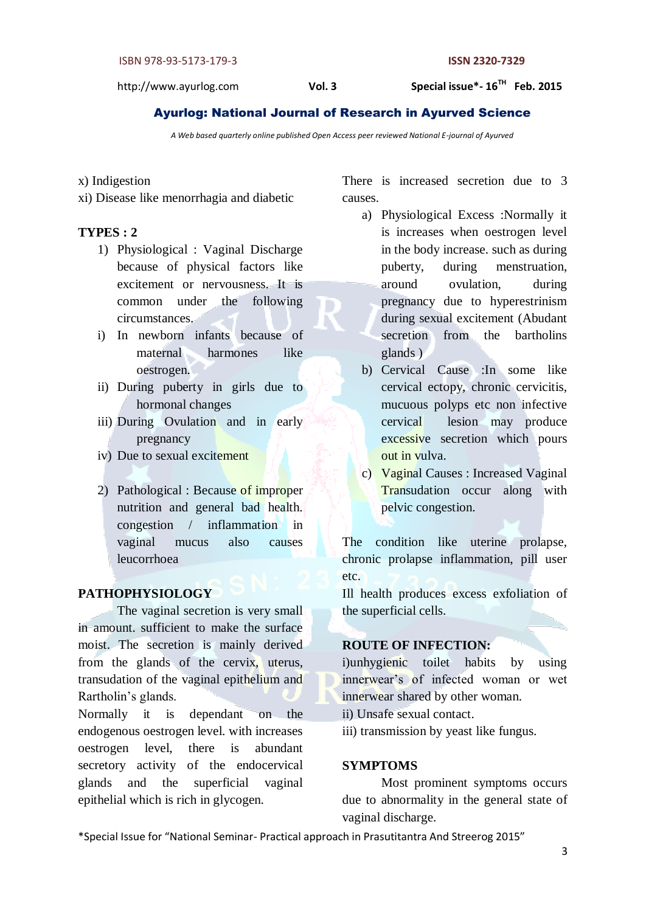Special issue\*-16<sup>TH</sup> Feb. 2015

# Ayurlog: National Journal of Research in Ayurved Science

*A Web based quarterly online published Open Access peer reviewed National E-journal of Ayurved*

## x) Indigestion

xi) Disease like menorrhagia and diabetic

# **TYPES : 2**

- 1) Physiological : Vaginal Discharge because of physical factors like excitement or nervousness. It is common under the following circumstances.
- i) In newborn infants because of maternal harmones like oestrogen.
- ii) During puberty in girls due to hormonal changes
- iii) During Ovulation and in early pregnancy
- iv) Due to sexual excitement
- 2) Pathological : Because of improper nutrition and general bad health. congestion / inflammation in vaginal mucus also causes leucorrhoea

# **PATHOPHYSIOLOGY**

The vaginal secretion is very small in amount. sufficient to make the surface moist. The secretion is mainly derived from the glands of the cervix, uterus, transudation of the vaginal epithelium and Rartholin's glands.

Normally it is dependant on the endogenous oestrogen level. with increases oestrogen level, there is abundant secretory activity of the endocervical glands and the superficial vaginal epithelial which is rich in glycogen.

There is increased secretion due to 3 causes.

- a) Physiological Excess :Normally it is increases when oestrogen level in the body increase. such as during puberty, during menstruation, around ovulation, during pregnancy due to hyperestrinism during sexual excitement (Abudant secretion from the bartholins glands )
- b) Cervical Cause :In some like cervical ectopy, chronic cervicitis, mucuous polyps etc non infective cervical lesion may produce excessive secretion which pours out in vulva.
- c) Vaginal Causes : Increased Vaginal Transudation occur along with pelvic congestion.

The condition like uterine prolapse, chronic prolapse inflammation, pill user etc.

Ill health produces excess exfoliation of the superficial cells.

# **ROUTE OF INFECTION:**

i)unhygienic toilet habits by using innerwear's of infected woman or wet innerwear shared by other woman.

ii) Unsafe sexual contact.

iii) transmission by yeast like fungus.

# **SYMPTOMS**

Most prominent symptoms occurs due to abnormality in the general state of vaginal discharge.

\*Special Issue for "National Seminar- Practical approach in Prasutitantra And Streerog 2015"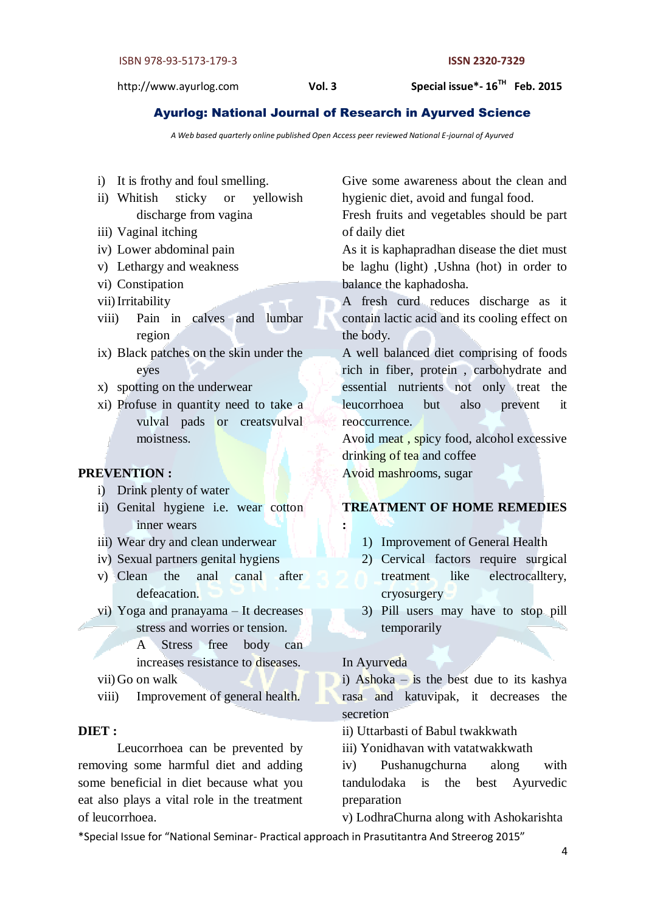Special issue\*-  $16^{TH}$  Feb. 2015

# Ayurlog: National Journal of Research in Ayurved Science

*A Web based quarterly online published Open Access peer reviewed National E-journal of Ayurved*

- i) It is frothy and foul smelling.
- ii) Whitish sticky or yellowish discharge from vagina
- iii) Vaginal itching
- iv) Lower abdominal pain
- v) Lethargy and weakness
- vi) Constipation
- vii) Irritability
- viii) Pain in calves and lumbar region
- ix) Black patches on the skin under the eyes
- x) spotting on the underwear
- xi) Profuse in quantity need to take a vulval pads or creatsvulval moistness.

#### **PREVENTION :**

- i) Drink plenty of water
- ii) Genital hygiene i.e. wear cotton inner wears
- iii) Wear dry and clean underwear
- iv) Sexual partners genital hygiens
- v) Clean the anal canal after defeacation.
- vi) Yoga and pranayama It decreases stress and worries or tension.

A Stress free body can increases resistance to diseases. vii) Go on walk

viii) Improvement of general health.

# **DIET :**

Leucorrhoea can be prevented by removing some harmful diet and adding some beneficial in diet because what you eat also plays a vital role in the treatment of leucorrhoea.

Give some awareness about the clean and hygienic diet, avoid and fungal food.

Fresh fruits and vegetables should be part of daily diet

As it is kaphapradhan disease the diet must be laghu (light) ,Ushna (hot) in order to balance the kaphadosha.

A fresh curd reduces discharge as it contain lactic acid and its cooling effect on the body.

A well balanced diet comprising of foods rich in fiber, protein , carbohydrate and essential nutrients not only treat the leucorrhoea but also prevent it reoccurrence.

Avoid meat , spicy food, alcohol excessive drinking of tea and coffee Avoid mashrooms, sugar

# **TREATMENT OF HOME REMEDIES**

- 1) Improvement of General Health
- 2) Cervical factors require surgical treatment like electrocalltery, cryosurgery
- 3) Pill users may have to stop pill temporarily

In Ayurveda

**:**

i) Ashoka – is the best due to its kashya rasa and katuvipak, it decreases the secretion

ii) Uttarbasti of Babul twakkwath

iii) Yonidhavan with vatatwakkwath

iv) Pushanugchurna along with tandulodaka is the best Ayurvedic preparation

v) LodhraChurna along with Ashokarishta

\*Special Issue for "National Seminar- Practical approach in Prasutitantra And Streerog 2015"